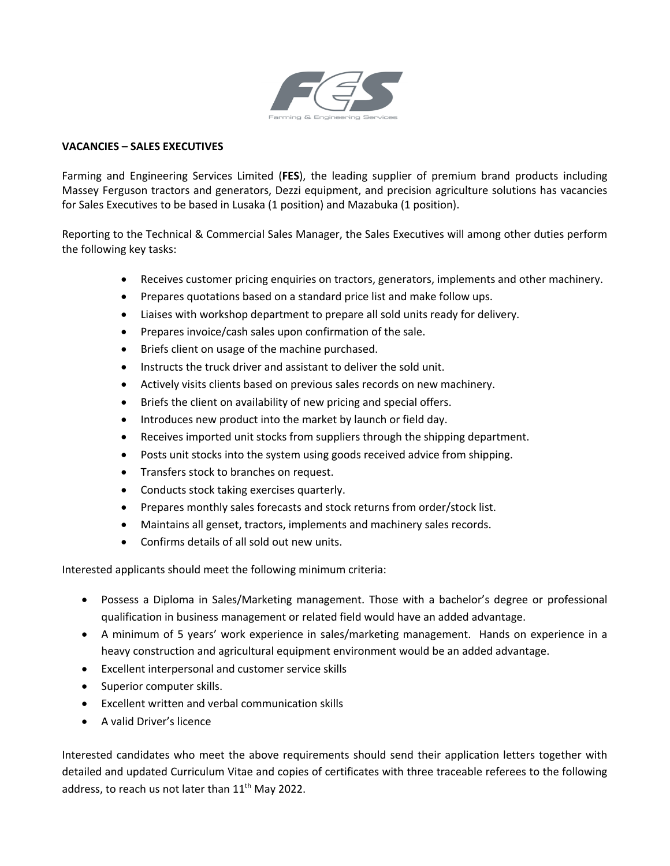

## **VACANCIES – SALES EXECUTIVES**

Farming and Engineering Services Limited (**FES**), the leading supplier of premium brand products including Massey Ferguson tractors and generators, Dezzi equipment, and precision agriculture solutions has vacancies for Sales Executives to be based in Lusaka (1 position) and Mazabuka (1 position).

Reporting to the Technical & Commercial Sales Manager, the Sales Executives will among other duties perform the following key tasks:

- Receives customer pricing enquiries on tractors, generators, implements and other machinery.
- Prepares quotations based on a standard price list and make follow ups.
- Liaises with workshop department to prepare all sold units ready for delivery.
- Prepares invoice/cash sales upon confirmation of the sale.
- Briefs client on usage of the machine purchased.
- Instructs the truck driver and assistant to deliver the sold unit.
- Actively visits clients based on previous sales records on new machinery.
- Briefs the client on availability of new pricing and special offers.
- Introduces new product into the market by launch or field day.
- Receives imported unit stocks from suppliers through the shipping department.
- Posts unit stocks into the system using goods received advice from shipping.
- Transfers stock to branches on request.
- Conducts stock taking exercises quarterly.
- Prepares monthly sales forecasts and stock returns from order/stock list.
- Maintains all genset, tractors, implements and machinery sales records.
- Confirms details of all sold out new units.

Interested applicants should meet the following minimum criteria:

- Possess a Diploma in Sales/Marketing management. Those with a bachelor's degree or professional qualification in business management or related field would have an added advantage.
- A minimum of 5 years' work experience in sales/marketing management. Hands on experience in a heavy construction and agricultural equipment environment would be an added advantage.
- Excellent interpersonal and customer service skills
- Superior computer skills.
- Excellent written and verbal communication skills
- A valid Driver's licence

Interested candidates who meet the above requirements should send their application letters together with detailed and updated Curriculum Vitae and copies of certificates with three traceable referees to the following address, to reach us not later than 11<sup>th</sup> May 2022.